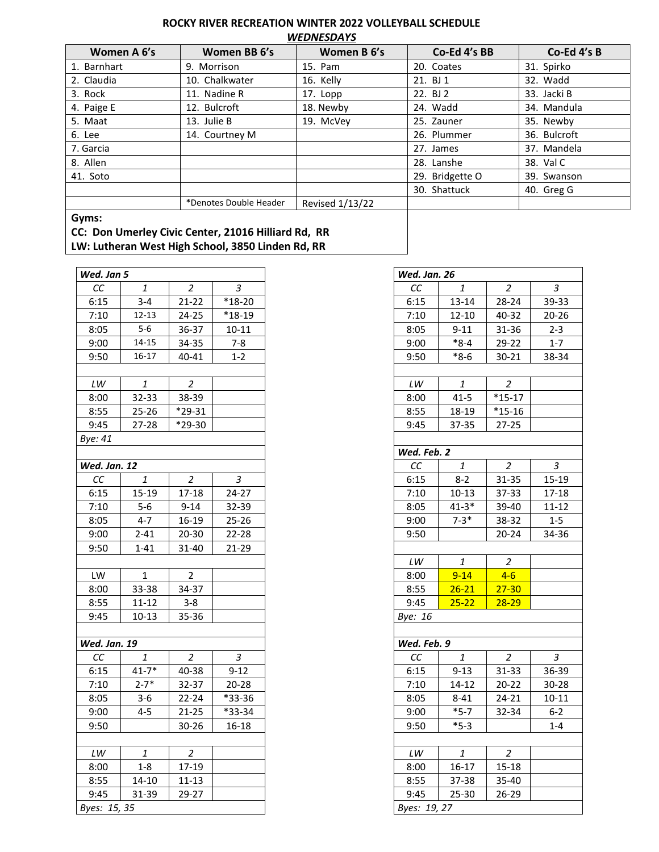## **ROCKY RIVER RECREATION WINTER 2022 VOLLEYBALL SCHEDULE** *WEDNESDAYS*

| Women A 6's | Women BB 6's           | Women B 6's     | Co-Ed 4's BB    | Co-Ed 4's B  |
|-------------|------------------------|-----------------|-----------------|--------------|
| 1. Barnhart | 9. Morrison            | 15. Pam         | 20. Coates      | 31. Spirko   |
| 2. Claudia  | 10. Chalkwater         | 16. Kelly       | 21. BJ 1        | 32. Wadd     |
| 3. Rock     | 11. Nadine R           | 17. Lopp        | 22. BJ 2        | 33. Jacki B  |
| 4. Paige E  | 12. Bulcroft           | 18. Newby       | 24. Wadd        | 34. Mandula  |
| 5. Maat     | 13. Julie B            | 19. McVey       | 25. Zauner      | 35. Newby    |
| 6. Lee      | 14. Courtney M         |                 | 26. Plummer     | 36. Bulcroft |
| 7. Garcia   |                        |                 | 27. James       | 37. Mandela  |
| 8. Allen    |                        |                 | 28. Lanshe      | 38. Val C    |
| 41. Soto    |                        |                 | 29. Bridgette O | 39. Swanson  |
|             |                        |                 | 30. Shattuck    | 40. Greg G   |
|             | *Denotes Double Header | Revised 1/13/22 |                 |              |
| Gyms:       |                        |                 |                 |              |

**CC: Don Umerley Civic Center, 21016 Hilliard Rd, RR**

**LW: Lutheran West High School, 3850 Linden Rd, RR**

| Wed. Jan 5             |              |                |                     |
|------------------------|--------------|----------------|---------------------|
| CC                     | 1            | 2              | 3                   |
| 6:15                   | $3 - 4$      | $21 - 22$      | $\overline{18}$ -20 |
| 7:10                   | $12 - 13$    | 24-25          | $*18-19$            |
| 8:05                   | $5-6$        | 36-37          | $10 - 11$           |
| 9:00                   | $14 - 15$    | 34-35          | $7 - 8$             |
| 9:50                   | $16 - 17$    | 40-41          | $1 - 2$             |
|                        |              |                |                     |
| $\mathsf{L}\mathsf{W}$ | $\it 1$      | $\overline{a}$ |                     |
| 8:00                   | 32-33        | 38-39          |                     |
| 8:55                   | $25 - 26$    | $*29-31$       |                     |
| 9:45                   | 27-28        | *29-30         |                     |
| Bye: 41                |              |                |                     |
|                        |              |                |                     |
| Wed. Jan. 12           |              |                |                     |
| СC                     | 1            | $\overline{a}$ | 3                   |
| 6:15                   | $15-19$      | $17 - 18$      | $24 - 27$           |
| 7:10                   | $5-6$        | $9 - 14$       | 32-39               |
| 8:05                   | $4 - 7$      | 16-19          | $25 - 26$           |
| 9:00                   | $2 - 41$     | 20-30          | 22-28               |
| 9:50                   | $1 - 41$     | 31-40          | 21-29               |
|                        |              |                |                     |
| LW                     | $\mathbf{1}$ | $\mathbf 2$    |                     |
| 8:00                   | 33-38        | 34-37          |                     |
| 8:55                   | $11 - 12$    | $3 - 8$        |                     |
| 9:45                   | 10-13        | 35-36          |                     |
|                        |              |                |                     |
| Wed. Jan. 19           |              |                |                     |
| CC                     | 1            | $\overline{c}$ | 3                   |
| 6:15                   | $41 - 7*$    | 40-38          | $9 - 12$            |
| 7:10                   | $2 - 7*$     | 32-37          | $20 - 28$           |
| 8:05                   | $3-6$        | $22 - 24$      | *33-36              |
| 9:00                   | $4 - 5$      | $21 - 25$      | *33-34              |
| 9:50                   |              | 30-26          | 16-18               |
|                        |              |                |                     |
| $\mathit{LW}$          | 1            | 2              |                     |
| 8:00                   | $1 - 8$      | 17-19          |                     |
| 8:55                   | 14-10        | $11 - 13$      |                     |
| 9:45                   | 31-39        | 29-27          |                     |
| Byes: 15, 35           |              |                |                     |

| Wed. Jan. 26           |           |                |                   |
|------------------------|-----------|----------------|-------------------|
| cc                     | 1         | $\overline{2}$ | 3                 |
| 6:15                   | 13-14     | 28-24          | 39-33             |
| 7:10                   | $12 - 10$ | 40-32          | $20 - 26$         |
| 8:05                   | $9 - 11$  | 31-36          | $2 - 3$           |
| 9:00                   | $*8-4$    | 29-22          | $1 - 7$           |
| 9:50                   | $*_{8-6}$ | 30-21          | 38-34             |
|                        |           |                |                   |
| $\mathit{LW}$          | $\it 1$   | $\overline{a}$ |                   |
| 8:00                   | $41 - 5$  | $*15-17$       |                   |
| 8:55                   | 18-19     | $*15 - 16$     |                   |
| 9:45                   | 37-35     | 27-25          |                   |
|                        |           |                |                   |
| Wed. Feb. 2            |           |                |                   |
| $\cal CC$              | 1         | $\overline{2}$ | 3                 |
| 6:15                   | $8 - 2$   | 31-35          | $15 - 19$         |
| 7:10                   | $10 - 13$ | 37-33          | $17 - 18$         |
| 8:05                   | $41 - 3*$ | 39-40          | $11 - 12$         |
| 9:00                   | $7-3*$    | 38-32          | $\overline{1}$ -5 |
| 9:50                   |           | 20-24          | 34-36             |
|                        |           |                |                   |
| $\mathsf{L}\mathsf{W}$ | 1         | $\overline{c}$ |                   |
| 8:00                   | $9 - 14$  | $4-6$          |                   |
| 8:55                   | $26 - 21$ | $27 - 30$      |                   |
| 9:45                   | $25 - 22$ | $28 - 29$      |                   |
| Bye: 16                |           |                |                   |
|                        |           |                |                   |
| Wed. Feb. 9            |           |                |                   |
| СC                     | $\it 1$   | $\overline{c}$ | 3                 |
| 6:15                   | 9-13      | 31-33          | 36-39             |
| 7:10                   | $14 - 12$ | 20-22          | 30-28             |
| 8:05                   | $8 - 41$  | 24-21          | $10 - 11$         |
| 9:00                   | $*5-7$    | 32-34          | $6 - 2$           |
| 9:50                   | $*5-3$    |                | $1 - 4$           |
|                        |           |                |                   |
| LW                     | 1         | $\overline{c}$ |                   |
| 8:00                   | $16 - 17$ | $15 - 18$      |                   |
| 8:55                   | 37-38     | 35-40          |                   |
| 9:45                   | $25 - 30$ | 26-29          |                   |
| Byes: 19, 27           |           |                |                   |